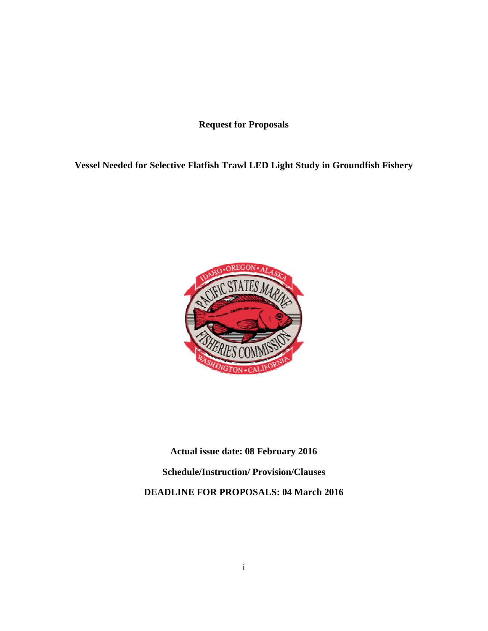**Request for Proposals** 

## **Vessel Needed for Selective Flatfish Trawl LED Light Study in Groundfish Fishery**



**Actual issue date: 08 February 2016** 

**Schedule/Instruction/ Provision/Clauses** 

**DEADLINE FOR PROPOSALS: 04 March 2016**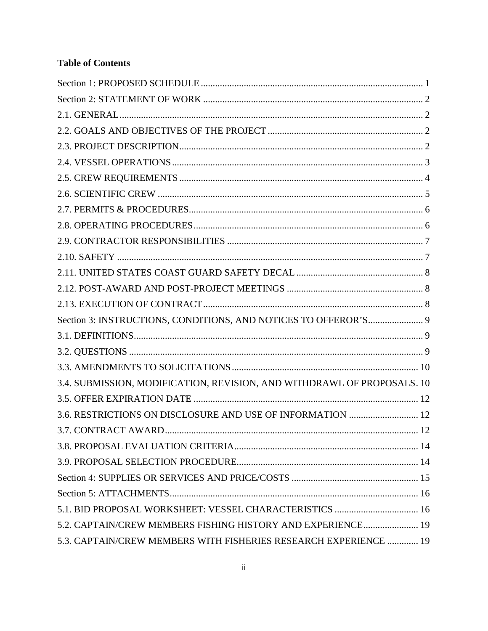# **Table of Contents**

| Section 3: INSTRUCTIONS, CONDITIONS, AND NOTICES TO OFFEROR'S 9         |  |
|-------------------------------------------------------------------------|--|
|                                                                         |  |
|                                                                         |  |
|                                                                         |  |
| 3.4. SUBMISSION, MODIFICATION, REVISION, AND WITHDRAWL OF PROPOSALS. 10 |  |
|                                                                         |  |
| 3.6. RESTRICTIONS ON DISCLOSURE AND USE OF INFORMATION  12              |  |
|                                                                         |  |
|                                                                         |  |
|                                                                         |  |
|                                                                         |  |
|                                                                         |  |
| 5.1. BID PROPOSAL WORKSHEET: VESSEL CHARACTERISTICS  16                 |  |
| 5.2. CAPTAIN/CREW MEMBERS FISHING HISTORY AND EXPERIENCE 19             |  |
| 5.3. CAPTAIN/CREW MEMBERS WITH FISHERIES RESEARCH EXPERIENCE  19        |  |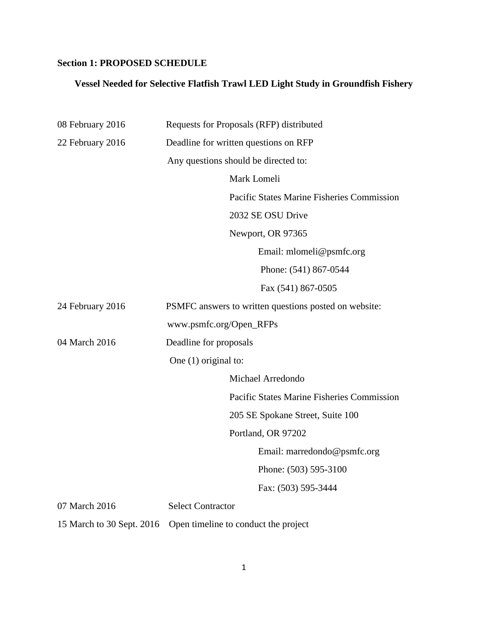# **Section 1: PROPOSED SCHEDULE**

## **Vessel Needed for Selective Flatfish Trawl LED Light Study in Groundfish Fishery**

| 08 February 2016          | Requests for Proposals (RFP) distributed              |  |  |
|---------------------------|-------------------------------------------------------|--|--|
| 22 February 2016          | Deadline for written questions on RFP                 |  |  |
|                           | Any questions should be directed to:                  |  |  |
|                           | Mark Lomeli                                           |  |  |
|                           | Pacific States Marine Fisheries Commission            |  |  |
|                           | 2032 SE OSU Drive                                     |  |  |
|                           | Newport, OR 97365                                     |  |  |
|                           | Email: mlomeli@psmfc.org                              |  |  |
|                           | Phone: (541) 867-0544                                 |  |  |
|                           | Fax (541) 867-0505                                    |  |  |
| 24 February 2016          | PSMFC answers to written questions posted on website: |  |  |
|                           | www.psmfc.org/Open_RFPs                               |  |  |
| 04 March 2016             | Deadline for proposals<br>One $(1)$ original to:      |  |  |
|                           |                                                       |  |  |
|                           | Michael Arredondo                                     |  |  |
|                           | Pacific States Marine Fisheries Commission            |  |  |
|                           | 205 SE Spokane Street, Suite 100                      |  |  |
|                           | Portland, OR 97202                                    |  |  |
|                           | Email: marredondo@psmfc.org                           |  |  |
|                           | Phone: (503) 595-3100                                 |  |  |
|                           | Fax: (503) 595-3444                                   |  |  |
| 07 March 2016             | <b>Select Contractor</b>                              |  |  |
| 15 March to 30 Sept. 2016 | Open timeline to conduct the project                  |  |  |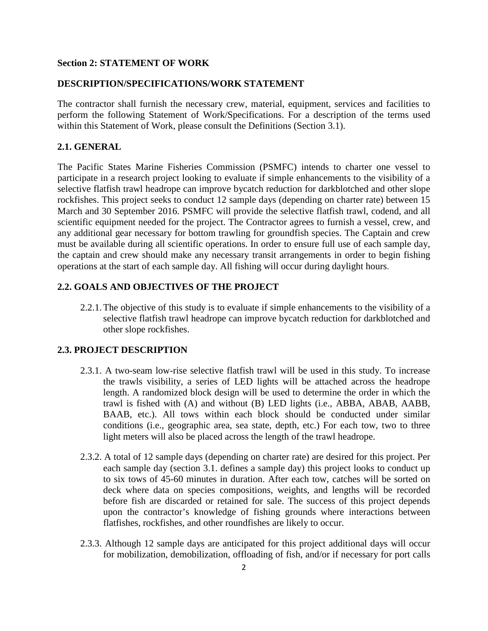#### **Section 2: STATEMENT OF WORK**

#### **DESCRIPTION/SPECIFICATIONS/WORK STATEMENT**

The contractor shall furnish the necessary crew, material, equipment, services and facilities to perform the following Statement of Work/Specifications. For a description of the terms used within this Statement of Work, please consult the Definitions (Section 3.1).

#### **2.1. GENERAL**

The Pacific States Marine Fisheries Commission (PSMFC) intends to charter one vessel to participate in a research project looking to evaluate if simple enhancements to the visibility of a selective flatfish trawl headrope can improve bycatch reduction for darkblotched and other slope rockfishes. This project seeks to conduct 12 sample days (depending on charter rate) between 15 March and 30 September 2016. PSMFC will provide the selective flatfish trawl, codend, and all scientific equipment needed for the project. The Contractor agrees to furnish a vessel, crew, and any additional gear necessary for bottom trawling for groundfish species. The Captain and crew must be available during all scientific operations. In order to ensure full use of each sample day, the captain and crew should make any necessary transit arrangements in order to begin fishing operations at the start of each sample day. All fishing will occur during daylight hours.

### **2.2. GOALS AND OBJECTIVES OF THE PROJECT**

2.2.1. The objective of this study is to evaluate if simple enhancements to the visibility of a selective flatfish trawl headrope can improve bycatch reduction for darkblotched and other slope rockfishes.

#### **2.3. PROJECT DESCRIPTION**

- 2.3.1. A two-seam low-rise selective flatfish trawl will be used in this study. To increase the trawls visibility, a series of LED lights will be attached across the headrope length. A randomized block design will be used to determine the order in which the trawl is fished with (A) and without (B) LED lights (i.e., ABBA, ABAB, AABB, BAAB, etc.). All tows within each block should be conducted under similar conditions (i.e., geographic area, sea state, depth, etc.) For each tow, two to three light meters will also be placed across the length of the trawl headrope.
- 2.3.2. A total of 12 sample days (depending on charter rate) are desired for this project. Per each sample day (section 3.1. defines a sample day) this project looks to conduct up to six tows of 45-60 minutes in duration. After each tow, catches will be sorted on deck where data on species compositions, weights, and lengths will be recorded before fish are discarded or retained for sale. The success of this project depends upon the contractor's knowledge of fishing grounds where interactions between flatfishes, rockfishes, and other roundfishes are likely to occur.
- 2.3.3. Although 12 sample days are anticipated for this project additional days will occur for mobilization, demobilization, offloading of fish, and/or if necessary for port calls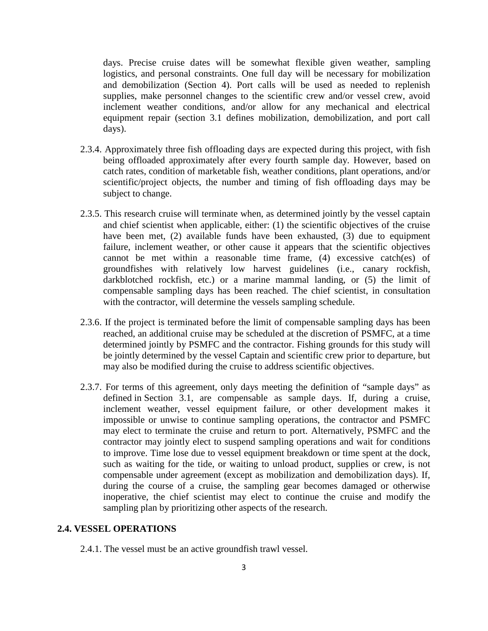days. Precise cruise dates will be somewhat flexible given weather, sampling logistics, and personal constraints. One full day will be necessary for mobilization and demobilization (Section 4). Port calls will be used as needed to replenish supplies, make personnel changes to the scientific crew and/or vessel crew, avoid inclement weather conditions, and/or allow for any mechanical and electrical equipment repair (section 3.1 defines mobilization, demobilization, and port call days).

- 2.3.4. Approximately three fish offloading days are expected during this project, with fish being offloaded approximately after every fourth sample day. However, based on catch rates, condition of marketable fish, weather conditions, plant operations, and/or scientific/project objects, the number and timing of fish offloading days may be subject to change.
- 2.3.5. This research cruise will terminate when, as determined jointly by the vessel captain and chief scientist when applicable, either: (1) the scientific objectives of the cruise have been met, (2) available funds have been exhausted, (3) due to equipment failure, inclement weather, or other cause it appears that the scientific objectives cannot be met within a reasonable time frame, (4) excessive catch(es) of groundfishes with relatively low harvest guidelines (i.e., canary rockfish, darkblotched rockfish, etc.) or a marine mammal landing, or (5) the limit of compensable sampling days has been reached. The chief scientist, in consultation with the contractor, will determine the vessels sampling schedule.
- 2.3.6. If the project is terminated before the limit of compensable sampling days has been reached, an additional cruise may be scheduled at the discretion of PSMFC, at a time determined jointly by PSMFC and the contractor. Fishing grounds for this study will be jointly determined by the vessel Captain and scientific crew prior to departure, but may also be modified during the cruise to address scientific objectives.
- 2.3.7. For terms of this agreement, only days meeting the definition of "sample days" as defined in Section 3.1, are compensable as sample days. If, during a cruise, inclement weather, vessel equipment failure, or other development makes it impossible or unwise to continue sampling operations, the contractor and PSMFC may elect to terminate the cruise and return to port. Alternatively, PSMFC and the contractor may jointly elect to suspend sampling operations and wait for conditions to improve. Time lose due to vessel equipment breakdown or time spent at the dock, such as waiting for the tide, or waiting to unload product, supplies or crew, is not compensable under agreement (except as mobilization and demobilization days). If, during the course of a cruise, the sampling gear becomes damaged or otherwise inoperative, the chief scientist may elect to continue the cruise and modify the sampling plan by prioritizing other aspects of the research.

#### **2.4. VESSEL OPERATIONS**

2.4.1. The vessel must be an active groundfish trawl vessel.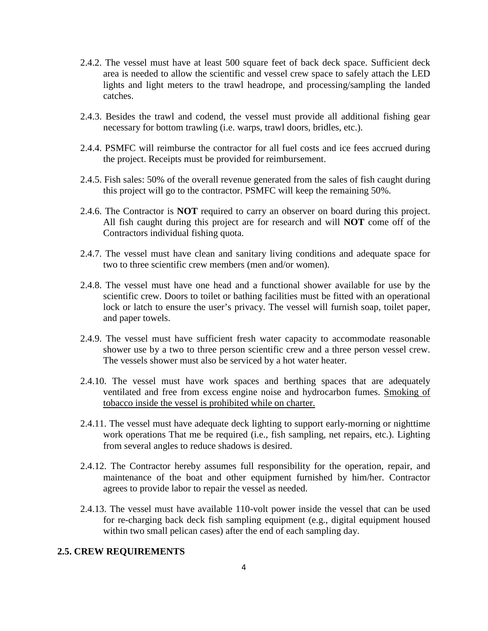- 2.4.2. The vessel must have at least 500 square feet of back deck space. Sufficient deck area is needed to allow the scientific and vessel crew space to safely attach the LED lights and light meters to the trawl headrope, and processing/sampling the landed catches.
- 2.4.3. Besides the trawl and codend, the vessel must provide all additional fishing gear necessary for bottom trawling (i.e. warps, trawl doors, bridles, etc.).
- 2.4.4. PSMFC will reimburse the contractor for all fuel costs and ice fees accrued during the project. Receipts must be provided for reimbursement.
- 2.4.5. Fish sales: 50% of the overall revenue generated from the sales of fish caught during this project will go to the contractor. PSMFC will keep the remaining 50%.
- 2.4.6. The Contractor is **NOT** required to carry an observer on board during this project. All fish caught during this project are for research and will **NOT** come off of the Contractors individual fishing quota.
- 2.4.7. The vessel must have clean and sanitary living conditions and adequate space for two to three scientific crew members (men and/or women).
- 2.4.8. The vessel must have one head and a functional shower available for use by the scientific crew. Doors to toilet or bathing facilities must be fitted with an operational lock or latch to ensure the user's privacy. The vessel will furnish soap, toilet paper, and paper towels.
- 2.4.9. The vessel must have sufficient fresh water capacity to accommodate reasonable shower use by a two to three person scientific crew and a three person vessel crew. The vessels shower must also be serviced by a hot water heater.
- 2.4.10. The vessel must have work spaces and berthing spaces that are adequately ventilated and free from excess engine noise and hydrocarbon fumes. Smoking of tobacco inside the vessel is prohibited while on charter.
- 2.4.11. The vessel must have adequate deck lighting to support early-morning or nighttime work operations That me be required (i.e., fish sampling, net repairs, etc.). Lighting from several angles to reduce shadows is desired.
- 2.4.12. The Contractor hereby assumes full responsibility for the operation, repair, and maintenance of the boat and other equipment furnished by him/her. Contractor agrees to provide labor to repair the vessel as needed.
- 2.4.13. The vessel must have available 110-volt power inside the vessel that can be used for re-charging back deck fish sampling equipment (e.g., digital equipment housed within two small pelican cases) after the end of each sampling day.

#### **2.5. CREW REQUIREMENTS**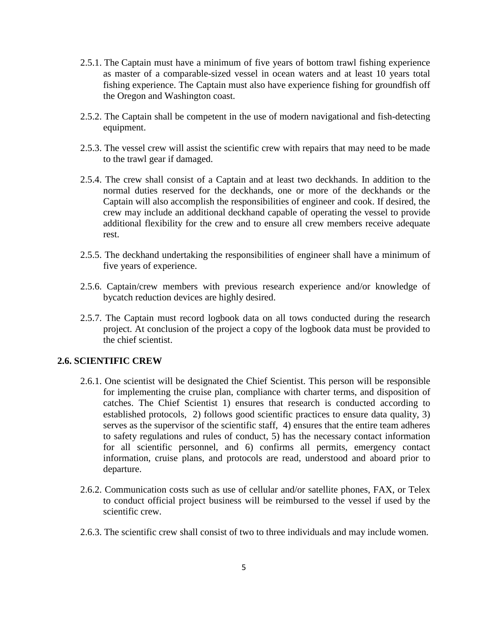- 2.5.1. The Captain must have a minimum of five years of bottom trawl fishing experience as master of a comparable-sized vessel in ocean waters and at least 10 years total fishing experience. The Captain must also have experience fishing for groundfish off the Oregon and Washington coast.
- 2.5.2. The Captain shall be competent in the use of modern navigational and fish-detecting equipment.
- 2.5.3. The vessel crew will assist the scientific crew with repairs that may need to be made to the trawl gear if damaged.
- 2.5.4. The crew shall consist of a Captain and at least two deckhands. In addition to the normal duties reserved for the deckhands, one or more of the deckhands or the Captain will also accomplish the responsibilities of engineer and cook. If desired, the crew may include an additional deckhand capable of operating the vessel to provide additional flexibility for the crew and to ensure all crew members receive adequate rest.
- 2.5.5. The deckhand undertaking the responsibilities of engineer shall have a minimum of five years of experience.
- 2.5.6. Captain/crew members with previous research experience and/or knowledge of bycatch reduction devices are highly desired.
- 2.5.7. The Captain must record logbook data on all tows conducted during the research project. At conclusion of the project a copy of the logbook data must be provided to the chief scientist.

### **2.6. SCIENTIFIC CREW**

- 2.6.1. One scientist will be designated the Chief Scientist. This person will be responsible for implementing the cruise plan, compliance with charter terms, and disposition of catches. The Chief Scientist 1) ensures that research is conducted according to established protocols, 2) follows good scientific practices to ensure data quality, 3) serves as the supervisor of the scientific staff, 4) ensures that the entire team adheres to safety regulations and rules of conduct, 5) has the necessary contact information for all scientific personnel, and 6) confirms all permits, emergency contact information, cruise plans, and protocols are read, understood and aboard prior to departure.
- 2.6.2. Communication costs such as use of cellular and/or satellite phones, FAX, or Telex to conduct official project business will be reimbursed to the vessel if used by the scientific crew.
- 2.6.3. The scientific crew shall consist of two to three individuals and may include women.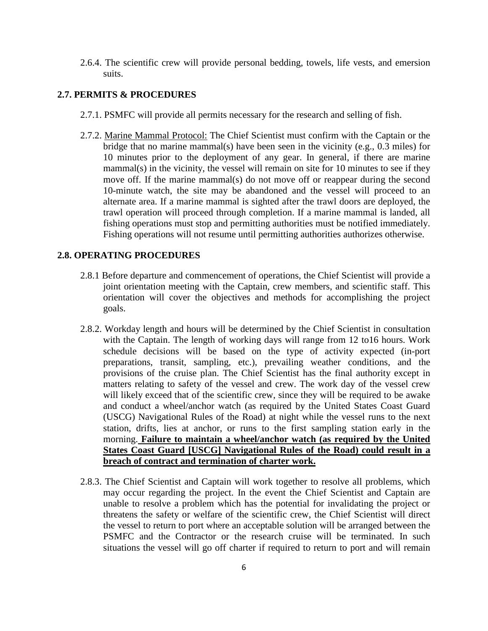2.6.4. The scientific crew will provide personal bedding, towels, life vests, and emersion suits.

### **2.7. PERMITS & PROCEDURES**

- 2.7.1. PSMFC will provide all permits necessary for the research and selling of fish.
- 2.7.2. Marine Mammal Protocol: The Chief Scientist must confirm with the Captain or the bridge that no marine mammal(s) have been seen in the vicinity (e.g., 0.3 miles) for 10 minutes prior to the deployment of any gear. In general, if there are marine mammal(s) in the vicinity, the vessel will remain on site for 10 minutes to see if they move off. If the marine mammal(s) do not move off or reappear during the second 10-minute watch, the site may be abandoned and the vessel will proceed to an alternate area. If a marine mammal is sighted after the trawl doors are deployed, the trawl operation will proceed through completion. If a marine mammal is landed, all fishing operations must stop and permitting authorities must be notified immediately. Fishing operations will not resume until permitting authorities authorizes otherwise.

#### **2.8. OPERATING PROCEDURES**

- 2.8.1 Before departure and commencement of operations, the Chief Scientist will provide a joint orientation meeting with the Captain, crew members, and scientific staff. This orientation will cover the objectives and methods for accomplishing the project goals.
- 2.8.2. Workday length and hours will be determined by the Chief Scientist in consultation with the Captain. The length of working days will range from 12 to16 hours. Work schedule decisions will be based on the type of activity expected (in-port preparations, transit, sampling, etc.), prevailing weather conditions, and the provisions of the cruise plan. The Chief Scientist has the final authority except in matters relating to safety of the vessel and crew. The work day of the vessel crew will likely exceed that of the scientific crew, since they will be required to be awake and conduct a wheel/anchor watch (as required by the United States Coast Guard (USCG) Navigational Rules of the Road) at night while the vessel runs to the next station, drifts, lies at anchor, or runs to the first sampling station early in the morning. **Failure to maintain a wheel/anchor watch (as required by the United States Coast Guard [USCG] Navigational Rules of the Road) could result in a breach of contract and termination of charter work.**
- 2.8.3. The Chief Scientist and Captain will work together to resolve all problems, which may occur regarding the project. In the event the Chief Scientist and Captain are unable to resolve a problem which has the potential for invalidating the project or threatens the safety or welfare of the scientific crew, the Chief Scientist will direct the vessel to return to port where an acceptable solution will be arranged between the PSMFC and the Contractor or the research cruise will be terminated. In such situations the vessel will go off charter if required to return to port and will remain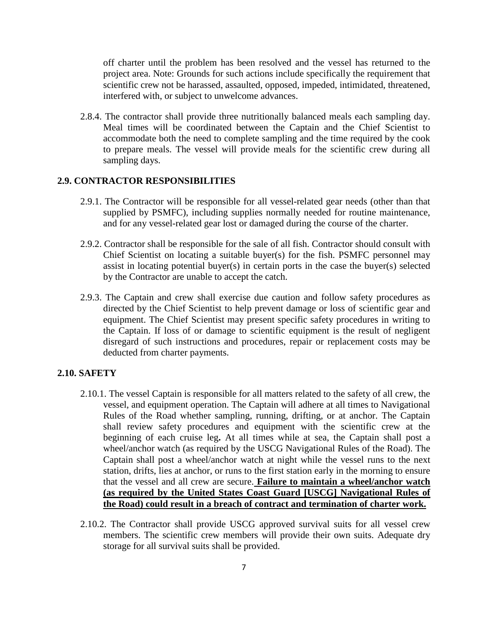off charter until the problem has been resolved and the vessel has returned to the project area. Note: Grounds for such actions include specifically the requirement that scientific crew not be harassed, assaulted, opposed, impeded, intimidated, threatened, interfered with, or subject to unwelcome advances.

2.8.4. The contractor shall provide three nutritionally balanced meals each sampling day. Meal times will be coordinated between the Captain and the Chief Scientist to accommodate both the need to complete sampling and the time required by the cook to prepare meals. The vessel will provide meals for the scientific crew during all sampling days.

### **2.9. CONTRACTOR RESPONSIBILITIES**

- 2.9.1. The Contractor will be responsible for all vessel-related gear needs (other than that supplied by PSMFC), including supplies normally needed for routine maintenance, and for any vessel-related gear lost or damaged during the course of the charter.
- 2.9.2. Contractor shall be responsible for the sale of all fish. Contractor should consult with Chief Scientist on locating a suitable buyer(s) for the fish. PSMFC personnel may assist in locating potential buyer(s) in certain ports in the case the buyer(s) selected by the Contractor are unable to accept the catch.
- 2.9.3. The Captain and crew shall exercise due caution and follow safety procedures as directed by the Chief Scientist to help prevent damage or loss of scientific gear and equipment. The Chief Scientist may present specific safety procedures in writing to the Captain. If loss of or damage to scientific equipment is the result of negligent disregard of such instructions and procedures, repair or replacement costs may be deducted from charter payments.

## **2.10. SAFETY**

- 2.10.1. The vessel Captain is responsible for all matters related to the safety of all crew, the vessel, and equipment operation. The Captain will adhere at all times to Navigational Rules of the Road whether sampling, running, drifting, or at anchor. The Captain shall review safety procedures and equipment with the scientific crew at the beginning of each cruise leg**.** At all times while at sea, the Captain shall post a wheel/anchor watch (as required by the USCG Navigational Rules of the Road). The Captain shall post a wheel/anchor watch at night while the vessel runs to the next station, drifts, lies at anchor, or runs to the first station early in the morning to ensure that the vessel and all crew are secure. **Failure to maintain a wheel/anchor watch (as required by the United States Coast Guard [USCG] Navigational Rules of the Road) could result in a breach of contract and termination of charter work.**
- 2.10.2. The Contractor shall provide USCG approved survival suits for all vessel crew members. The scientific crew members will provide their own suits. Adequate dry storage for all survival suits shall be provided.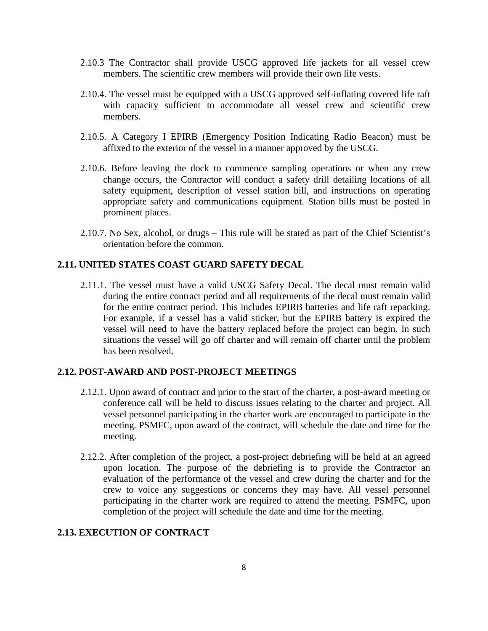- 2.10.3 The Contractor shall provide USCG approved life jackets for all vessel crew members. The scientific crew members will provide their own life vests.
- 2.10.4. The vessel must be equipped with a USCG approved self-inflating covered life raft with capacity sufficient to accommodate all vessel crew and scientific crew members.
- 2.10.5. A Category I EPIRB (Emergency Position Indicating Radio Beacon) must be affixed to the exterior of the vessel in a manner approved by the USCG.
- 2.10.6. Before leaving the dock to commence sampling operations or when any crew change occurs, the Contractor will conduct a safety drill detailing locations of all safety equipment, description of vessel station bill, and instructions on operating appropriate safety and communications equipment. Station bills must be posted in prominent places.
- 2.10.7. No Sex, alcohol, or drugs This rule will be stated as part of the Chief Scientist's orientation before the common.

## **2.11. UNITED STATES COAST GUARD SAFETY DECAL**

2.11.1. The vessel must have a valid USCG Safety Decal. The decal must remain valid during the entire contract period and all requirements of the decal must remain valid for the entire contract period. This includes EPIRB batteries and life raft repacking. For example, if a vessel has a valid sticker, but the EPIRB battery is expired the vessel will need to have the battery replaced before the project can begin. In such situations the vessel will go off charter and will remain off charter until the problem has been resolved.

#### **2.12. POST-AWARD AND POST-PROJECT MEETINGS**

- 2.12.1. Upon award of contract and prior to the start of the charter, a post-award meeting or conference call will be held to discuss issues relating to the charter and project. All vessel personnel participating in the charter work are encouraged to participate in the meeting. PSMFC, upon award of the contract, will schedule the date and time for the meeting.
- 2.12.2. After completion of the project, a post-project debriefing will be held at an agreed upon location. The purpose of the debriefing is to provide the Contractor an evaluation of the performance of the vessel and crew during the charter and for the crew to voice any suggestions or concerns they may have. All vessel personnel participating in the charter work are required to attend the meeting. PSMFC, upon completion of the project will schedule the date and time for the meeting.

### **2.13. EXECUTION OF CONTRACT**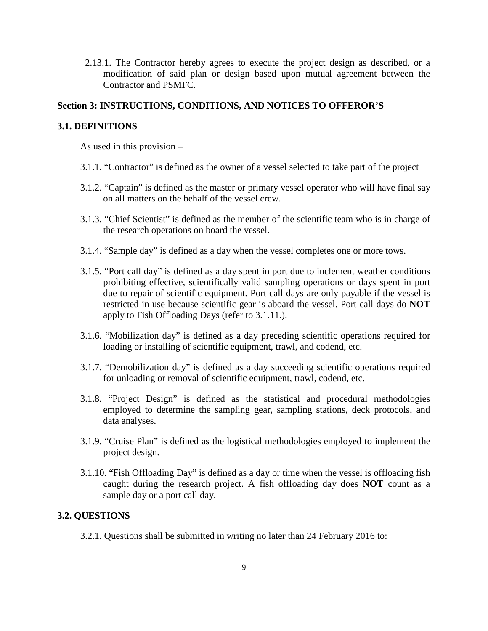2.13.1. The Contractor hereby agrees to execute the project design as described, or a modification of said plan or design based upon mutual agreement between the Contractor and PSMFC.

### **Section 3: INSTRUCTIONS, CONDITIONS, AND NOTICES TO OFFEROR'S**

#### **3.1. DEFINITIONS**

As used in this provision –

- 3.1.1. "Contractor" is defined as the owner of a vessel selected to take part of the project
- 3.1.2. "Captain" is defined as the master or primary vessel operator who will have final say on all matters on the behalf of the vessel crew.
- 3.1.3. "Chief Scientist" is defined as the member of the scientific team who is in charge of the research operations on board the vessel.
- 3.1.4. "Sample day" is defined as a day when the vessel completes one or more tows.
- 3.1.5. "Port call day" is defined as a day spent in port due to inclement weather conditions prohibiting effective, scientifically valid sampling operations or days spent in port due to repair of scientific equipment. Port call days are only payable if the vessel is restricted in use because scientific gear is aboard the vessel. Port call days do **NOT** apply to Fish Offloading Days (refer to 3.1.11.).
- 3.1.6. "Mobilization day" is defined as a day preceding scientific operations required for loading or installing of scientific equipment, trawl, and codend, etc.
- 3.1.7. "Demobilization day" is defined as a day succeeding scientific operations required for unloading or removal of scientific equipment, trawl, codend, etc.
- 3.1.8. "Project Design" is defined as the statistical and procedural methodologies employed to determine the sampling gear, sampling stations, deck protocols, and data analyses.
- 3.1.9. "Cruise Plan" is defined as the logistical methodologies employed to implement the project design.
- 3.1.10. "Fish Offloading Day" is defined as a day or time when the vessel is offloading fish caught during the research project. A fish offloading day does **NOT** count as a sample day or a port call day.

#### **3.2. QUESTIONS**

3.2.1. Questions shall be submitted in writing no later than 24 February 2016 to: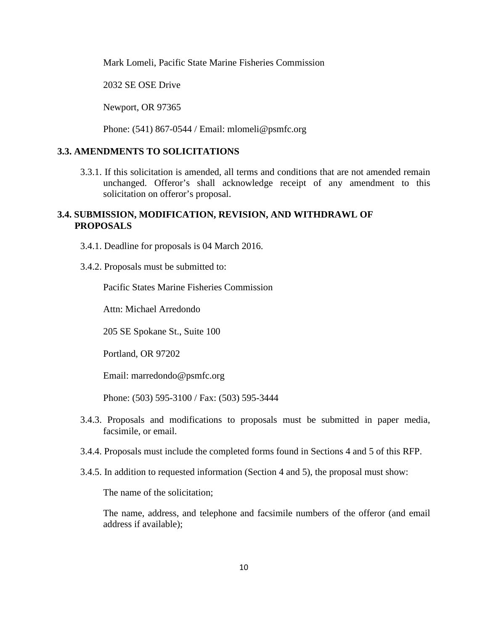Mark Lomeli, Pacific State Marine Fisheries Commission

2032 SE OSE Drive

Newport, OR 97365

Phone: (541) 867-0544 / Email: mlomeli@psmfc.org

### **3.3. AMENDMENTS TO SOLICITATIONS**

3.3.1. If this solicitation is amended, all terms and conditions that are not amended remain unchanged. Offeror's shall acknowledge receipt of any amendment to this solicitation on offeror's proposal.

### **3.4. SUBMISSION, MODIFICATION, REVISION, AND WITHDRAWL OF PROPOSALS**

- 3.4.1. Deadline for proposals is 04 March 2016.
- 3.4.2. Proposals must be submitted to:

Pacific States Marine Fisheries Commission

Attn: Michael Arredondo

205 SE Spokane St., Suite 100

Portland, OR 97202

Email: marredondo@psmfc.org

Phone: (503) 595-3100 / Fax: (503) 595-3444

- 3.4.3. Proposals and modifications to proposals must be submitted in paper media, facsimile, or email.
- 3.4.4. Proposals must include the completed forms found in Sections 4 and 5 of this RFP.
- 3.4.5. In addition to requested information (Section 4 and 5), the proposal must show:

The name of the solicitation;

 The name, address, and telephone and facsimile numbers of the offeror (and email address if available);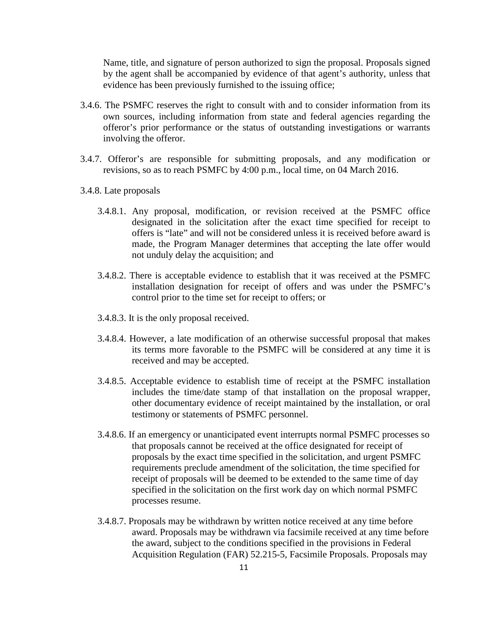Name, title, and signature of person authorized to sign the proposal. Proposals signed by the agent shall be accompanied by evidence of that agent's authority, unless that evidence has been previously furnished to the issuing office;

- 3.4.6. The PSMFC reserves the right to consult with and to consider information from its own sources, including information from state and federal agencies regarding the offeror's prior performance or the status of outstanding investigations or warrants involving the offeror.
- 3.4.7. Offeror's are responsible for submitting proposals, and any modification or revisions, so as to reach PSMFC by 4:00 p.m., local time, on 04 March 2016.
- 3.4.8. Late proposals
	- 3.4.8.1. Any proposal, modification, or revision received at the PSMFC office designated in the solicitation after the exact time specified for receipt to offers is "late" and will not be considered unless it is received before award is made, the Program Manager determines that accepting the late offer would not unduly delay the acquisition; and
	- 3.4.8.2. There is acceptable evidence to establish that it was received at the PSMFC installation designation for receipt of offers and was under the PSMFC's control prior to the time set for receipt to offers; or
	- 3.4.8.3. It is the only proposal received.
	- 3.4.8.4. However, a late modification of an otherwise successful proposal that makes its terms more favorable to the PSMFC will be considered at any time it is received and may be accepted.
	- 3.4.8.5. Acceptable evidence to establish time of receipt at the PSMFC installation includes the time/date stamp of that installation on the proposal wrapper, other documentary evidence of receipt maintained by the installation, or oral testimony or statements of PSMFC personnel.
	- 3.4.8.6. If an emergency or unanticipated event interrupts normal PSMFC processes so that proposals cannot be received at the office designated for receipt of proposals by the exact time specified in the solicitation, and urgent PSMFC requirements preclude amendment of the solicitation, the time specified for receipt of proposals will be deemed to be extended to the same time of day specified in the solicitation on the first work day on which normal PSMFC processes resume.
	- 3.4.8.7. Proposals may be withdrawn by written notice received at any time before award. Proposals may be withdrawn via facsimile received at any time before the award, subject to the conditions specified in the provisions in Federal Acquisition Regulation (FAR) 52.215-5, Facsimile Proposals. Proposals may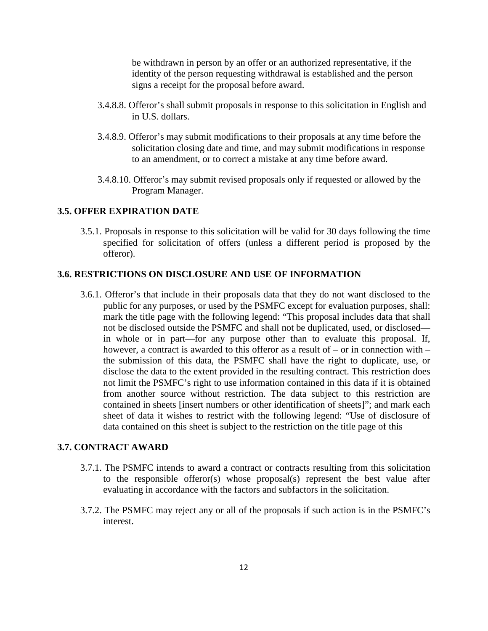be withdrawn in person by an offer or an authorized representative, if the identity of the person requesting withdrawal is established and the person signs a receipt for the proposal before award.

- 3.4.8.8. Offeror's shall submit proposals in response to this solicitation in English and in U.S. dollars.
- 3.4.8.9. Offeror's may submit modifications to their proposals at any time before the solicitation closing date and time, and may submit modifications in response to an amendment, or to correct a mistake at any time before award.
- 3.4.8.10. Offeror's may submit revised proposals only if requested or allowed by the Program Manager.

### **3.5. OFFER EXPIRATION DATE**

3.5.1. Proposals in response to this solicitation will be valid for 30 days following the time specified for solicitation of offers (unless a different period is proposed by the offeror).

#### **3.6. RESTRICTIONS ON DISCLOSURE AND USE OF INFORMATION**

3.6.1. Offeror's that include in their proposals data that they do not want disclosed to the public for any purposes, or used by the PSMFC except for evaluation purposes, shall: mark the title page with the following legend: "This proposal includes data that shall not be disclosed outside the PSMFC and shall not be duplicated, used, or disclosed in whole or in part—for any purpose other than to evaluate this proposal. If, however, a contract is awarded to this offeror as a result of – or in connection with – the submission of this data, the PSMFC shall have the right to duplicate, use, or disclose the data to the extent provided in the resulting contract. This restriction does not limit the PSMFC's right to use information contained in this data if it is obtained from another source without restriction. The data subject to this restriction are contained in sheets [insert numbers or other identification of sheets]"; and mark each sheet of data it wishes to restrict with the following legend: "Use of disclosure of data contained on this sheet is subject to the restriction on the title page of this

### **3.7. CONTRACT AWARD**

- 3.7.1. The PSMFC intends to award a contract or contracts resulting from this solicitation to the responsible offeror(s) whose proposal(s) represent the best value after evaluating in accordance with the factors and subfactors in the solicitation.
- 3.7.2. The PSMFC may reject any or all of the proposals if such action is in the PSMFC's interest.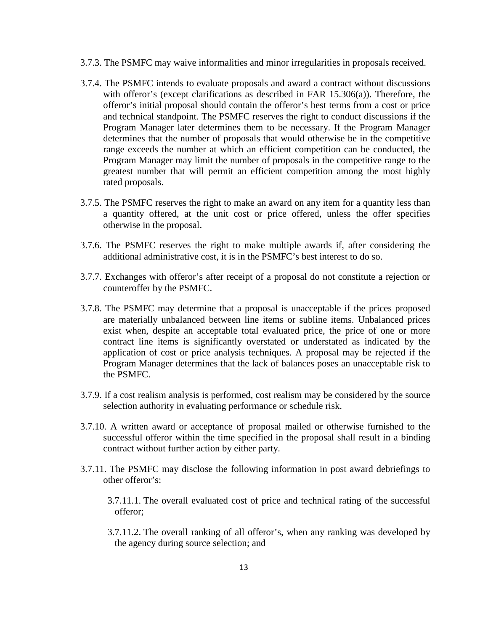- 3.7.3. The PSMFC may waive informalities and minor irregularities in proposals received.
- 3.7.4. The PSMFC intends to evaluate proposals and award a contract without discussions with offeror's (except clarifications as described in FAR 15.306(a)). Therefore, the offeror's initial proposal should contain the offeror's best terms from a cost or price and technical standpoint. The PSMFC reserves the right to conduct discussions if the Program Manager later determines them to be necessary. If the Program Manager determines that the number of proposals that would otherwise be in the competitive range exceeds the number at which an efficient competition can be conducted, the Program Manager may limit the number of proposals in the competitive range to the greatest number that will permit an efficient competition among the most highly rated proposals.
- 3.7.5. The PSMFC reserves the right to make an award on any item for a quantity less than a quantity offered, at the unit cost or price offered, unless the offer specifies otherwise in the proposal.
- 3.7.6. The PSMFC reserves the right to make multiple awards if, after considering the additional administrative cost, it is in the PSMFC's best interest to do so.
- 3.7.7. Exchanges with offeror's after receipt of a proposal do not constitute a rejection or counteroffer by the PSMFC.
- 3.7.8. The PSMFC may determine that a proposal is unacceptable if the prices proposed are materially unbalanced between line items or subline items. Unbalanced prices exist when, despite an acceptable total evaluated price, the price of one or more contract line items is significantly overstated or understated as indicated by the application of cost or price analysis techniques. A proposal may be rejected if the Program Manager determines that the lack of balances poses an unacceptable risk to the PSMFC.
- 3.7.9. If a cost realism analysis is performed, cost realism may be considered by the source selection authority in evaluating performance or schedule risk.
- 3.7.10. A written award or acceptance of proposal mailed or otherwise furnished to the successful offeror within the time specified in the proposal shall result in a binding contract without further action by either party.
- 3.7.11. The PSMFC may disclose the following information in post award debriefings to other offeror's:
	- 3.7.11.1. The overall evaluated cost of price and technical rating of the successful offeror;
	- 3.7.11.2. The overall ranking of all offeror's, when any ranking was developed by the agency during source selection; and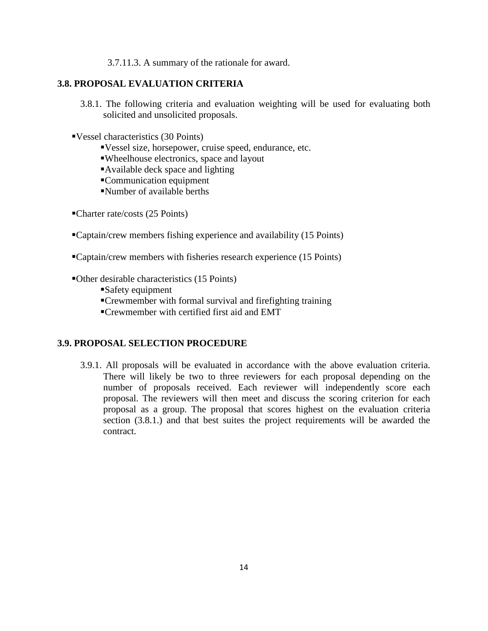3.7.11.3. A summary of the rationale for award.

## **3.8. PROPOSAL EVALUATION CRITERIA**

- 3.8.1. The following criteria and evaluation weighting will be used for evaluating both solicited and unsolicited proposals.
- Vessel characteristics (30 Points)
	- Vessel size, horsepower, cruise speed, endurance, etc.
	- Wheelhouse electronics, space and layout
	- Available deck space and lighting
	- Communication equipment
	- Number of available berths
- Charter rate/costs (25 Points)
- Captain/crew members fishing experience and availability (15 Points)
- Captain/crew members with fisheries research experience (15 Points)
- Other desirable characteristics (15 Points)
	- Safety equipment
	- Crewmember with formal survival and firefighting training
	- Crewmember with certified first aid and EMT

#### **3.9. PROPOSAL SELECTION PROCEDURE**

3.9.1. All proposals will be evaluated in accordance with the above evaluation criteria. There will likely be two to three reviewers for each proposal depending on the number of proposals received. Each reviewer will independently score each proposal. The reviewers will then meet and discuss the scoring criterion for each proposal as a group. The proposal that scores highest on the evaluation criteria section (3.8.1.) and that best suites the project requirements will be awarded the contract.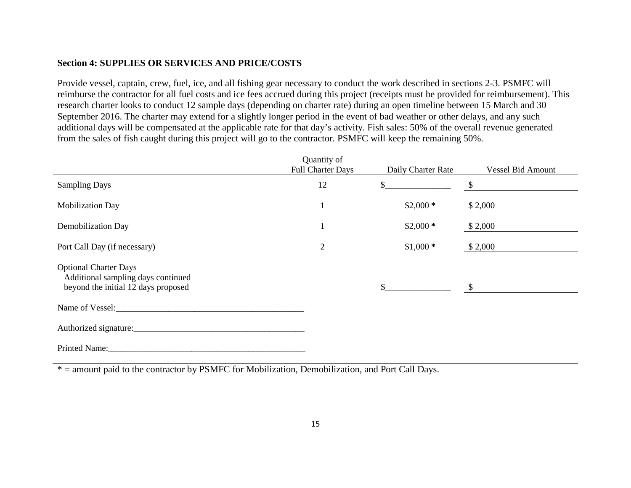## **Section 4: SUPPLIES OR SERVICES AND PRICE/COSTS**

Provide vessel, captain, crew, fuel, ice, and all fishing gear necessary to conduct the work described in sections 2-3. PSMFC will reimburse the contractor for all fuel costs and ice fees accrued during this project (receipts must be provided for reimbursement). This research charter looks to conduct 12 sample days (depending on charter rate) during an open timeline between 15 March and 30 September 2016. The charter may extend for a slightly longer period in the event of bad weather or other delays, and any such additional days will be compensated at the applicable rate for that day's activity. Fish sales: 50% of the overall revenue generated from the sales of fish caught during this project will go to the contractor. PSMFC will keep the remaining 50%.

|                                                                                                           | Quantity of<br><b>Full Charter Days</b> | Daily Charter Rate | <b>Vessel Bid Amount</b> |
|-----------------------------------------------------------------------------------------------------------|-----------------------------------------|--------------------|--------------------------|
| <b>Sampling Days</b>                                                                                      | 12                                      |                    | \$                       |
| <b>Mobilization Day</b>                                                                                   |                                         | $$2,000*$          | \$2,000                  |
| Demobilization Day                                                                                        |                                         | $$2,000*$          | \$2,000                  |
| Port Call Day (if necessary)                                                                              | $\overline{2}$                          | $$1,000*$          | \$2,000                  |
| <b>Optional Charter Days</b><br>Additional sampling days continued<br>beyond the initial 12 days proposed |                                         |                    | $\mathbb{S}$             |
| Name of Vessel:                                                                                           |                                         |                    |                          |
| Authorized signature:                                                                                     |                                         |                    |                          |
| Printed Name:                                                                                             |                                         |                    |                          |

 $* =$  amount paid to the contractor by PSMFC for Mobilization, Demobilization, and Port Call Days.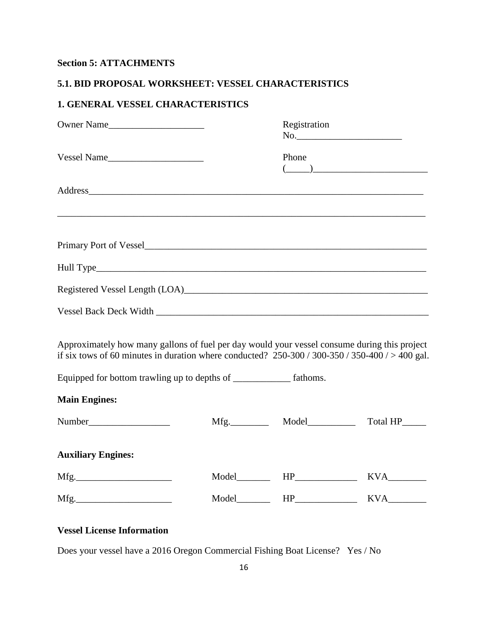# **Section 5: ATTACHMENTS**

## **5.1. BID PROPOSAL WORKSHEET: VESSEL CHARACTERISTICS**

# **1. GENERAL VESSEL CHARACTERISTICS**

| Owner Name                                                                                                                                                                                                                     | Registration<br>$\begin{picture}(150,10) \put(0,0){\vector(1,0){100}} \put(15,0){\vector(1,0){100}} \put(15,0){\vector(1,0){100}} \put(15,0){\vector(1,0){100}} \put(15,0){\vector(1,0){100}} \put(15,0){\vector(1,0){100}} \put(15,0){\vector(1,0){100}} \put(15,0){\vector(1,0){100}} \put(15,0){\vector(1,0){100}} \put(15,0){\vector(1,0){100}} \put(15,0){\vector(1,0){100}}$ |               |
|--------------------------------------------------------------------------------------------------------------------------------------------------------------------------------------------------------------------------------|------------------------------------------------------------------------------------------------------------------------------------------------------------------------------------------------------------------------------------------------------------------------------------------------------------------------------------------------------------------------------------|---------------|
| Vessel Name                                                                                                                                                                                                                    | Phone<br>$\begin{picture}(20,10) \put(0,0){\vector(1,0){100}} \put(15,0){\vector(1,0){100}} \put(15,0){\vector(1,0){100}} \put(15,0){\vector(1,0){100}} \put(15,0){\vector(1,0){100}} \put(15,0){\vector(1,0){100}} \put(15,0){\vector(1,0){100}} \put(15,0){\vector(1,0){100}} \put(15,0){\vector(1,0){100}} \put(15,0){\vector(1,0){100}} \put(15,0){\vector(1,0){100}} \$       |               |
| Address and the contract of the contract of the contract of the contract of the contract of the contract of the contract of the contract of the contract of the contract of the contract of the contract of the contract of th |                                                                                                                                                                                                                                                                                                                                                                                    |               |
|                                                                                                                                                                                                                                |                                                                                                                                                                                                                                                                                                                                                                                    |               |
|                                                                                                                                                                                                                                |                                                                                                                                                                                                                                                                                                                                                                                    |               |
|                                                                                                                                                                                                                                |                                                                                                                                                                                                                                                                                                                                                                                    |               |
|                                                                                                                                                                                                                                |                                                                                                                                                                                                                                                                                                                                                                                    |               |
| Approximately how many gallons of fuel per day would your vessel consume during this project<br>if six tows of 60 minutes in duration where conducted? $250-300/300-350/350-400/>400$ gal.                                     |                                                                                                                                                                                                                                                                                                                                                                                    |               |
| Equipped for bottom trawling up to depths of ______________ fathoms.                                                                                                                                                           |                                                                                                                                                                                                                                                                                                                                                                                    |               |
| <b>Main Engines:</b>                                                                                                                                                                                                           |                                                                                                                                                                                                                                                                                                                                                                                    |               |
|                                                                                                                                                                                                                                |                                                                                                                                                                                                                                                                                                                                                                                    | Total HP_____ |
| <b>Auxiliary Engines:</b>                                                                                                                                                                                                      |                                                                                                                                                                                                                                                                                                                                                                                    |               |
|                                                                                                                                                                                                                                |                                                                                                                                                                                                                                                                                                                                                                                    |               |
|                                                                                                                                                                                                                                | $Model$ $HP$ $HP$                                                                                                                                                                                                                                                                                                                                                                  | KVA           |

# **Vessel License Information**

Does your vessel have a 2016 Oregon Commercial Fishing Boat License? Yes / No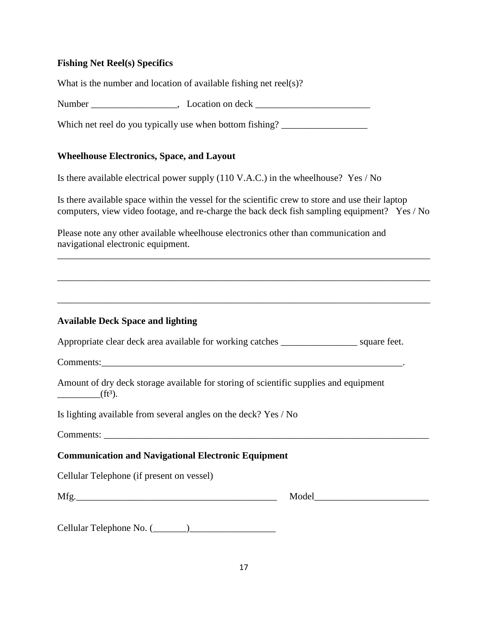## **Fishing Net Reel(s) Specifics**

What is the number and location of available fishing net reel(s)?

Number \_\_\_\_\_\_\_\_\_\_\_\_\_\_\_\_\_\_\_\_, Location on deck \_\_\_\_\_\_\_\_\_\_\_\_\_\_\_\_\_\_\_\_\_\_\_\_\_\_\_\_\_\_\_\_\_\_\_

Which net reel do you typically use when bottom fishing? \_\_\_\_\_\_\_\_\_\_\_\_\_\_\_\_\_\_\_\_\_\_\_

## **Wheelhouse Electronics, Space, and Layout**

Is there available electrical power supply (110 V.A.C.) in the wheelhouse? Yes / No

Is there available space within the vessel for the scientific crew to store and use their laptop computers, view video footage, and re-charge the back deck fish sampling equipment? Yes / No

Please note any other available wheelhouse electronics other than communication and navigational electronic equipment.

| <b>Available Deck Space and lighting</b>                                                            |  |
|-----------------------------------------------------------------------------------------------------|--|
| Appropriate clear deck area available for working catches _____________________ square feet.        |  |
|                                                                                                     |  |
| Amount of dry deck storage available for storing of scientific supplies and equipment<br>$f(t^3)$ . |  |
| Is lighting available from several angles on the deck? Yes / No                                     |  |
|                                                                                                     |  |
| <b>Communication and Navigational Electronic Equipment</b>                                          |  |
| Cellular Telephone (if present on vessel)                                                           |  |
|                                                                                                     |  |

Cellular Telephone No. (\_\_\_\_\_\_\_)\_\_\_\_\_\_\_\_\_\_\_\_\_\_\_\_\_\_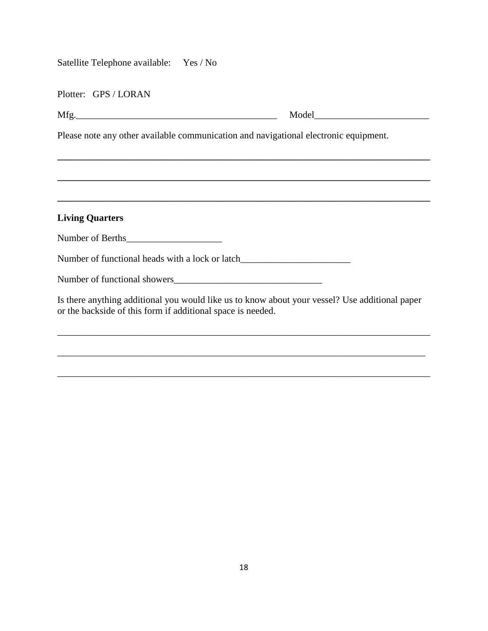| Satellite Telephone available: Yes / No                     |                                                                                                |
|-------------------------------------------------------------|------------------------------------------------------------------------------------------------|
| Plotter: GPS / LORAN                                        |                                                                                                |
|                                                             |                                                                                                |
|                                                             | Please note any other available communication and navigational electronic equipment.           |
|                                                             |                                                                                                |
|                                                             |                                                                                                |
| <b>Living Quarters</b>                                      |                                                                                                |
|                                                             |                                                                                                |
|                                                             | Number of functional heads with a lock or latch__________________________________              |
|                                                             |                                                                                                |
| or the backside of this form if additional space is needed. | Is there anything additional you would like us to know about your vessel? Use additional paper |
|                                                             |                                                                                                |

\_\_\_\_\_\_\_\_\_\_\_\_\_\_\_\_\_\_\_\_\_\_\_\_\_\_\_\_\_\_\_\_\_\_\_\_\_\_\_\_\_\_\_\_\_\_\_\_\_\_\_\_\_\_\_\_\_\_\_\_\_\_\_\_\_\_\_\_\_\_\_\_\_\_\_\_\_\_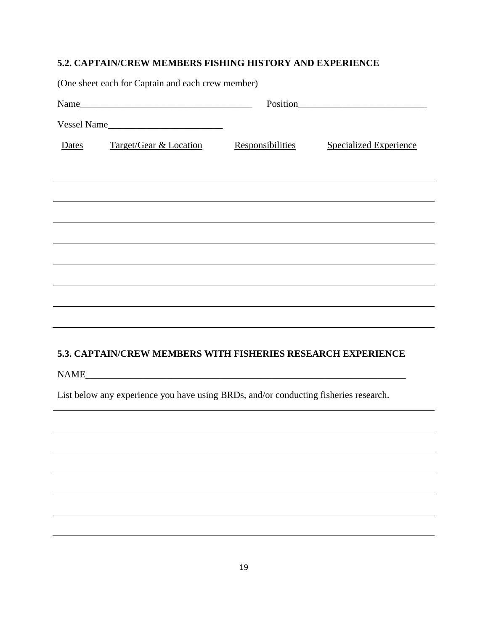# **5.2. CAPTAIN/CREW MEMBERS FISHING HISTORY AND EXPERIENCE**

| (One sheet each for Captain and each crew member)                                                                                                |                                                                                  |                  |                               |  |
|--------------------------------------------------------------------------------------------------------------------------------------------------|----------------------------------------------------------------------------------|------------------|-------------------------------|--|
|                                                                                                                                                  | Name                                                                             |                  |                               |  |
|                                                                                                                                                  | Vessel Name                                                                      |                  |                               |  |
| Dates                                                                                                                                            | Target/Gear & Location                                                           | Responsibilities | <b>Specialized Experience</b> |  |
|                                                                                                                                                  |                                                                                  |                  |                               |  |
|                                                                                                                                                  |                                                                                  |                  |                               |  |
|                                                                                                                                                  | ,我们也不会有什么。""我们的人,我们也不会有什么?""我们的人,我们也不会有什么?""我们的人,我们也不会有什么?""我们的人,我们也不会有什么?""我们的人 |                  |                               |  |
|                                                                                                                                                  |                                                                                  |                  |                               |  |
|                                                                                                                                                  |                                                                                  |                  |                               |  |
|                                                                                                                                                  |                                                                                  |                  |                               |  |
|                                                                                                                                                  |                                                                                  |                  |                               |  |
| ,我们也不会有什么。""我们的人,我们也不会有什么?""我们的人,我们也不会有什么?""我们的人,我们也不会有什么?""我们的人,我们也不会有什么?""我们的人<br>5.3. CAPTAIN/CREW MEMBERS WITH FISHERIES RESEARCH EXPERIENCE |                                                                                  |                  |                               |  |
| List below any experience you have using BRDs, and/or conducting fisheries research.                                                             |                                                                                  |                  |                               |  |
|                                                                                                                                                  |                                                                                  |                  |                               |  |
|                                                                                                                                                  |                                                                                  |                  |                               |  |
|                                                                                                                                                  |                                                                                  |                  |                               |  |
|                                                                                                                                                  |                                                                                  |                  |                               |  |
|                                                                                                                                                  |                                                                                  |                  |                               |  |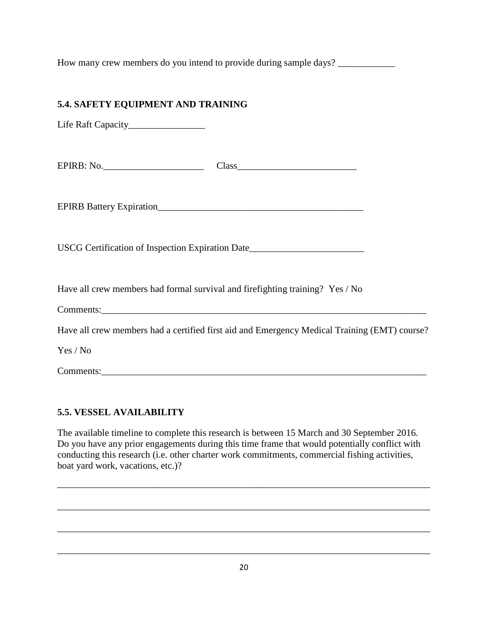How many crew members do you intend to provide during sample days?

# **5.4. SAFETY EQUIPMENT AND TRAINING**

Life Raft Capacity\_\_\_\_\_\_\_\_\_\_\_\_\_\_\_\_

EPIRB: No.

EPIRB Battery Expiration\_\_\_\_\_\_\_\_\_\_\_\_\_\_\_\_\_\_\_\_\_\_\_\_\_\_\_\_\_\_\_\_\_\_\_\_\_\_\_\_\_\_\_

USCG Certification of Inspection Expiration Date\_\_\_\_\_\_\_\_\_\_\_\_\_\_\_\_\_\_\_\_\_\_\_\_\_\_\_\_\_\_\_\_

Have all crew members had formal survival and firefighting training? Yes / No

| ⌒ |  |  |
|---|--|--|
|   |  |  |

Have all crew members had a certified first aid and Emergency Medical Training (EMT) course?

Yes / No

Comments:\_\_\_\_\_\_\_\_\_\_\_\_\_\_\_\_\_\_\_\_\_\_\_\_\_\_\_\_\_\_\_\_\_\_\_\_\_\_\_\_\_\_\_\_\_\_\_\_\_\_\_\_\_\_\_\_\_\_\_\_\_\_\_\_\_\_\_\_

## **5.5. VESSEL AVAILABILITY**

The available timeline to complete this research is between 15 March and 30 September 2016. Do you have any prior engagements during this time frame that would potentially conflict with conducting this research (i.e. other charter work commitments, commercial fishing activities, boat yard work, vacations, etc.)?

\_\_\_\_\_\_\_\_\_\_\_\_\_\_\_\_\_\_\_\_\_\_\_\_\_\_\_\_\_\_\_\_\_\_\_\_\_\_\_\_\_\_\_\_\_\_\_\_\_\_\_\_\_\_\_\_\_\_\_\_\_\_\_\_\_\_\_\_\_\_\_\_\_\_\_\_\_\_

\_\_\_\_\_\_\_\_\_\_\_\_\_\_\_\_\_\_\_\_\_\_\_\_\_\_\_\_\_\_\_\_\_\_\_\_\_\_\_\_\_\_\_\_\_\_\_\_\_\_\_\_\_\_\_\_\_\_\_\_\_\_\_\_\_\_\_\_\_\_\_\_\_\_\_\_\_\_

\_\_\_\_\_\_\_\_\_\_\_\_\_\_\_\_\_\_\_\_\_\_\_\_\_\_\_\_\_\_\_\_\_\_\_\_\_\_\_\_\_\_\_\_\_\_\_\_\_\_\_\_\_\_\_\_\_\_\_\_\_\_\_\_\_\_\_\_\_\_\_\_\_\_\_\_\_\_

\_\_\_\_\_\_\_\_\_\_\_\_\_\_\_\_\_\_\_\_\_\_\_\_\_\_\_\_\_\_\_\_\_\_\_\_\_\_\_\_\_\_\_\_\_\_\_\_\_\_\_\_\_\_\_\_\_\_\_\_\_\_\_\_\_\_\_\_\_\_\_\_\_\_\_\_\_\_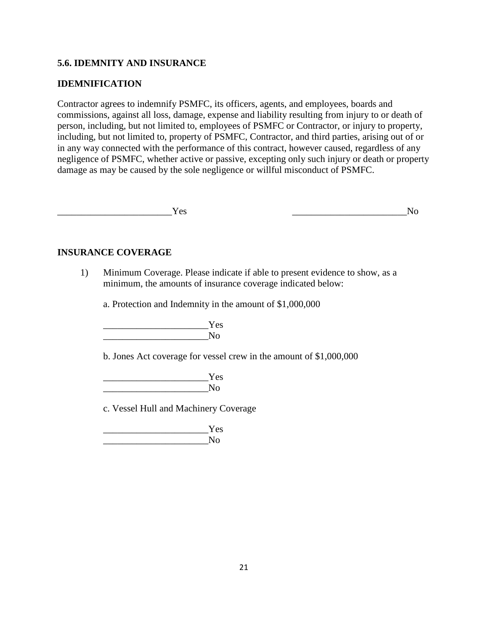## **5.6. IDEMNITY AND INSURANCE**

### **IDEMNIFICATION**

Contractor agrees to indemnify PSMFC, its officers, agents, and employees, boards and commissions, against all loss, damage, expense and liability resulting from injury to or death of person, including, but not limited to, employees of PSMFC or Contractor, or injury to property, including, but not limited to, property of PSMFC, Contractor, and third parties, arising out of or in any way connected with the performance of this contract, however caused, regardless of any negligence of PSMFC, whether active or passive, excepting only such injury or death or property damage as may be caused by the sole negligence or willful misconduct of PSMFC.

 $\gamma_{\rm es}$  and  $\gamma_{\rm co}$ 

### **INSURANCE COVERAGE**

1) Minimum Coverage. Please indicate if able to present evidence to show, as a minimum, the amounts of insurance coverage indicated below:

a. Protection and Indemnity in the amount of \$1,000,000

 $Yes$ \_\_\_\_\_\_\_\_\_\_\_\_\_\_\_\_\_\_\_\_\_\_No

b. Jones Act coverage for vessel crew in the amount of \$1,000,000

 \_\_\_\_\_\_\_\_\_\_\_\_\_\_\_\_\_\_\_\_\_\_Yes  $\overline{N}$ 

c. Vessel Hull and Machinery Coverage

 \_\_\_\_\_\_\_\_\_\_\_\_\_\_\_\_\_\_\_\_\_\_Yes  $\mathbf{N}\mathbf{o}$